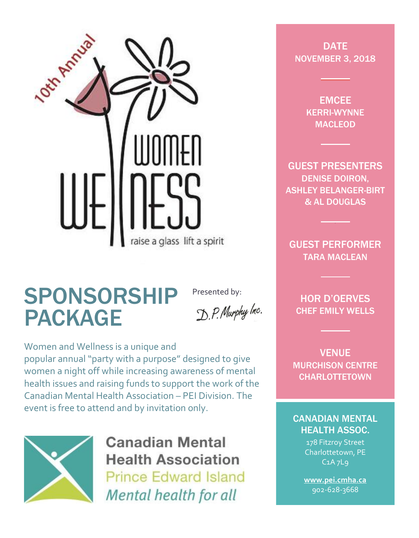

### SPONSORSHIP PACKAGE

Presented by:D.P. Murphy Inc.

Women and Wellness is a unique and popular annual "party with a purpose" designed to give women a night off while increasing awareness of mental health issues and raising funds to support the work of the Canadian Mental Health Association – PEI Division. The event is free to attend and by invitation only.



**Canadian Mental Health Association Prince Edward Island** Mental health for all

**DATE** NOVEMBER 3, 2018

> EMCEE KERRI-WYNNE MACLEOD

GUEST PRESENTERS DENISE DOIRON, ASHLEY BELANGER-BIRT & AL DOUGLAS

GUEST PERFORMER TARA MACLEAN

HOR D'OERVES CHEF EMILY WELLS

VENUE MURCHISON CENTRE **CHARLOTTETOWN** 

#### CANADIAN MENTAL HEALTH ASSOC.

178 Fitzroy Street Charlottetown, PE C1A 7L9

**[www.pei.cmha.ca](http://www.pei.cmha.ca/)**  902-628-3668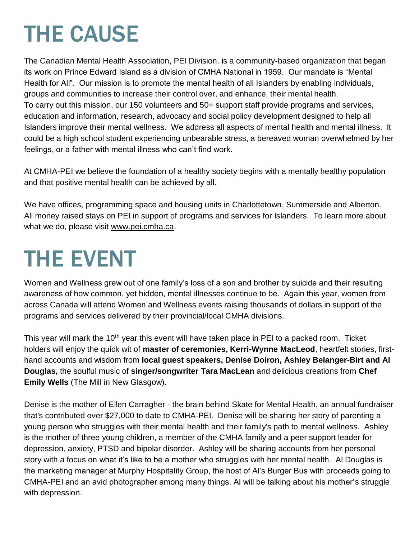## THE CAUSE

The Canadian Mental Health Association, PEI Division, is a community-based organization that began its work on Prince Edward Island as a division of CMHA National in 1959. Our mandate is "Mental Health for All". Our mission is to promote the mental health of all Islanders by enabling individuals, groups and communities to increase their control over, and enhance, their mental health. To carry out this mission, our 150 volunteers and 50+ support staff provide programs and services, education and information, research, advocacy and social policy development designed to help all Islanders improve their mental wellness. We address all aspects of mental health and mental illness. It could be a high school student experiencing unbearable stress, a bereaved woman overwhelmed by her feelings, or a father with mental illness who can't find work.

At CMHA-PEI we believe the foundation of a healthy society begins with a mentally healthy population and that positive mental health can be achieved by all.

We have offices, programming space and housing units in Charlottetown, Summerside and Alberton. All money raised stays on PEI in support of programs and services for Islanders. To learn more about what we do, please visit [www.pei.cmha.ca.](http://www.pei.cmha.ca/)

## THE EVENT

Women and Wellness grew out of one family's loss of a son and brother by suicide and their resulting awareness of how common, yet hidden, mental illnesses continue to be. Again this year, women from across Canada will attend Women and Wellness events raising thousands of dollars in support of the programs and services delivered by their provincial/local CMHA divisions.

This year will mark the 10<sup>th</sup> year this event will have taken place in PEI to a packed room. Ticket holders will enjoy the quick wit of **master of ceremonies, Kerri-Wynne MacLeod**, heartfelt stories, firsthand accounts and wisdom from **local guest speakers, Denise Doiron, Ashley Belanger-Birt and Al Douglas,** the soulful music of **singer/songwriter Tara MacLean** and delicious creations from **Chef Emily Wells** (The Mill in New Glasgow).

Denise is the mother of Ellen Carragher - the brain behind Skate for Mental Health, an annual fundraiser that's contributed over \$27,000 to date to CMHA-PEI. Denise will be sharing her story of parenting a young person who struggles with their mental health and their family's path to mental wellness. Ashley is the mother of three young children, a member of the CMHA family and a peer support leader for depression, anxiety, PTSD and bipolar disorder. Ashley will be sharing accounts from her personal story with a focus on what it's like to be a mother who struggles with her mental health. Al Douglas is the marketing manager at Murphy Hospitality Group, the host of Al's Burger Bus with proceeds going to CMHA-PEI and an avid photographer among many things. Al will be talking about his mother's struggle with depression.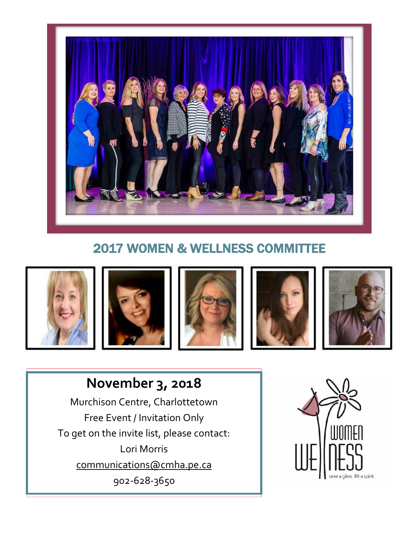

### 2017 WOMEN & WELLNESS COMMITTEE











### **November 3, 2018**

Murchison Centre, Charlottetown Free Event / Invitation Only To get on the invite list, please contact: Lori Morris [communications@cmha.pe.ca](mailto:communications@cmha.pe.ca) 902-628-3650